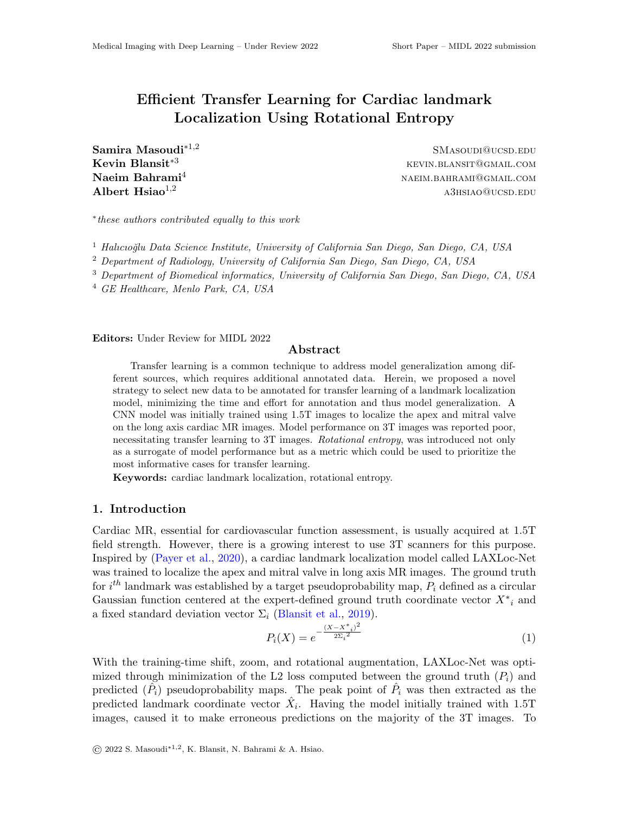# Efficient Transfer Learning for Cardiac landmark Localization Using Rotational Entropy

 $**SMAsoupi@ucsp.EDU**$ 

Kevin Blansit<sup>∗3</sup> kevin.blansit<sup>∗3</sup>  $\mathbf{Naeim\; Bahrami}^4 \qquad \qquad \mathbf{NaEIM}.\mathbf{BAHRAMI@GMAIL}.\mathbf{COMI}$  $\rm \bf{Albert} \; Hisiao^{1,2}$  a3hsiao@ucsd.edu

∗ these authors contributed equally to this work

<sup>1</sup> Halıcıoğlu Data Science Institute, University of California San Diego, San Diego, CA, USA

<sup>2</sup> Department of Radiology, University of California San Diego, San Diego, CA, USA

<sup>3</sup> Department of Biomedical informatics, University of California San Diego, San Diego, CA, USA

<sup>4</sup> GE Healthcare, Menlo Park, CA, USA

Editors: Under Review for MIDL 2022

### Abstract

Transfer learning is a common technique to address model generalization among different sources, which requires additional annotated data. Herein, we proposed a novel strategy to select new data to be annotated for transfer learning of a landmark localization model, minimizing the time and effort for annotation and thus model generalization. A CNN model was initially trained using 1.5T images to localize the apex and mitral valve on the long axis cardiac MR images. Model performance on 3T images was reported poor, necessitating transfer learning to 3T images. Rotational entropy, was introduced not only as a surrogate of model performance but as a metric which could be used to prioritize the most informative cases for transfer learning.

Keywords: cardiac landmark localization, rotational entropy.

### 1. Introduction

Cardiac MR, essential for cardiovascular function assessment, is usually acquired at 1.5T field strength. However, there is a growing interest to use 3T scanners for this purpose. Inspired by [\(Payer et al.,](#page-2-0) [2020\)](#page-2-0), a cardiac landmark localization model called LAXLoc-Net was trained to localize the apex and mitral valve in long axis MR images. The ground truth for  $i^{th}$  landmark was established by a target pseudoprobability map,  $P_i$  defined as a circular Gaussian function centered at the expert-defined ground truth coordinate vector  $X^*$ <sub>i</sub> and a fixed standard deviation vector  $\Sigma_i$  [\(Blansit et al.,](#page-2-1) [2019\)](#page-2-1).

$$
P_i(X) = e^{-\frac{(X - X^*i)^2}{2\Sigma_i^2}}
$$
\n(1)

With the training-time shift, zoom, and rotational augmentation, LAXLoc-Net was optimized through minimization of the L2 loss computed between the ground truth  $(P_i)$  and predicted  $(\tilde{P}_i)$  pseudoprobability maps. The peak point of  $\hat{P}_i$  was then extracted as the predicted landmark coordinate vector  $\hat{X}_i$ . Having the model initially trained with 1.5T images, caused it to make erroneous predictions on the majority of the 3T images. To